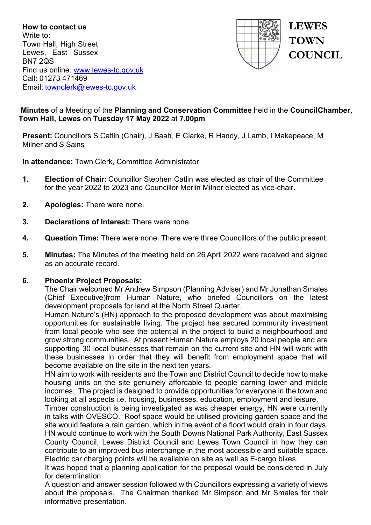**How to contact us** Write to: Town Hall, High Street Lewes, East Sussex BN7 2QS Find us online: [www.lewes-tc.gov.uk](http://www.lewes-tc.gov.uk/) Call: 01273 471469 Email: [townclerk@lewes-tc.gov.uk](mailto:townclerk@lewes-tc.gov.uk)



# **Minutes** of a Meeting of the **Planning and Conservation Committee** held in the **Council Chamber, Town Hall, Lewes** on **Tuesday 17 May 2022** at **7.00pm**

**Present:** Councillors S Catlin (Chair), J Baah, E Clarke, R Handy, J Lamb, I Makepeace, M Milner and S Sains

**In attendance:** Town Clerk, Committee Administrator

- **1. Election of Chair:** Councillor Stephen Catlin was elected as chair of the Committee for the year 2022 to 2023 and Councillor Merlin Milner elected as vice-chair.
- **2. Apologies:** There were none.
- **3. Declarations of Interest:** There were none.
- **4. Question Time:** There were none. There were three Councillors of the public present.
- **5. Minutes:** The Minutes of the meeting held on 26 April 2022 were received and signed as an accurate record.

### **6. Phoenix Project Proposals:**

The Chair welcomed Mr Andrew Simpson (Planning Adviser) and Mr Jonathan Smales (Chief Executive)from Human Nature, who briefed Councillors on the latest development proposals for land at the North Street Quarter.

Human Nature's (HN) approach to the proposed development was about maximising opportunities for sustainable living. The project has secured community investment from local people who see the potential in the project to build a neighbourhood and grow strong communities. At present Human Nature employs 20 local people and are supporting 30 local businesses that remain on the current site and HN will work with these businesses in order that they will benefit from employment space that will become available on the site in the next ten years.

HN aim to work with residents and the Town and District Council to decide how to make housing units on the site genuinely affordable to people earning lower and middle incomes. The project is designed to provide opportunities for everyone in the town and looking at all aspects i.e. housing, businesses, education, employment and leisure.

Timber construction is being investigated as was cheaper energy, HN were currently in talks with OVESCO. Roof space would be utilised providing garden space and the site would feature a rain garden, which in the event of a flood would drain in four days. HN would continue to work with the South Downs National Park Authority, East Sussex County Council, Lewes District Council and Lewes Town Council in how they can contribute to an improved bus interchange in the most accessible and suitable space. Electric car charging points will be available on site as well as E-cargo bikes.

It was hoped that a planning application for the proposal would be considered in July for determination.

A question and answer session followed with Councillors expressing a variety of views about the proposals. The Chairman thanked Mr Simpson and Mr Smales for their informative presentation.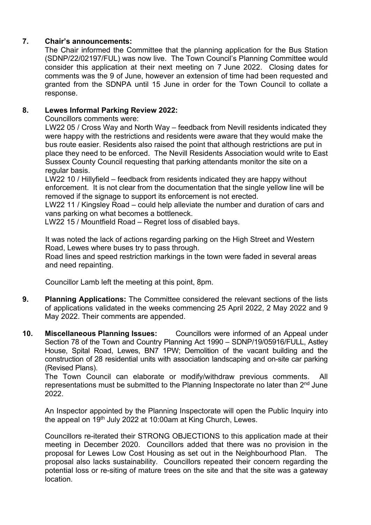# **7. Chair's announcements:**

The Chair informed the Committee that the planning application for the Bus Station (SDNP/22/02197/FUL) was now live. The Town Council's Planning Committee would consider this application at their next meeting on 7 June 2022. Closing dates for comments was the 9 of June, however an extension of time had been requested and granted from the SDNPA until 15 June in order for the Town Council to collate a response.

## **8. Lewes Informal Parking Review 2022:**

Councillors comments were:

LW22 05 / Cross Way and North Way – feedback from Nevill residents indicated they were happy with the restrictions and residents were aware that they would make the bus route easier. Residents also raised the point that although restrictions are put in place they need to be enforced. The Nevill Residents Association would write to East Sussex County Council requesting that parking attendants monitor the site on a regular basis.

LW22 10 / Hillyfield – feedback from residents indicated they are happy without enforcement. It is not clear from the documentation that the single yellow line will be removed if the signage to support its enforcement is not erected.

LW22 11 / Kingsley Road – could help alleviate the number and duration of cars and vans parking on what becomes a bottleneck.

LW22 15 / Mountfield Road – Regret loss of disabled bays.

It was noted the lack of actions regarding parking on the High Street and Western Road, Lewes where buses try to pass through.

Road lines and speed restriction markings in the town were faded in several areas and need repainting.

Councillor Lamb left the meeting at this point, 8pm.

- **9. Planning Applications:** The Committee considered the relevant sections of the lists of applications validated in the weeks commencing 25 April 2022, 2 May 2022 and 9 May 2022. Their comments are appended.
- **10. Miscellaneous Planning Issues:** Councillors were informed of an Appeal under Section 78 of the Town and Country Planning Act 1990 – SDNP/19/05916/FULL, Astley House, Spital Road, Lewes, BN7 1PW; Demolition of the vacant building and the construction of 28 residential units with association landscaping and on-site car parking (Revised Plans).

The Town Council can elaborate or modify/withdraw previous comments. All representations must be submitted to the Planning Inspectorate no later than 2<sup>nd</sup> June 2022.

An Inspector appointed by the Planning Inspectorate will open the Public Inquiry into the appeal on 19<sup>th</sup> July 2022 at 10:00am at King Church, Lewes.

Councillors re-iterated their STRONG OBJECTIONS to this application made at their meeting in December 2020. Councillors added that there was no provision in the proposal for Lewes Low Cost Housing as set out in the Neighbourhood Plan. The proposal also lacks sustainability. Councillors repeated their concern regarding the potential loss or re-siting of mature trees on the site and that the site was a gateway location.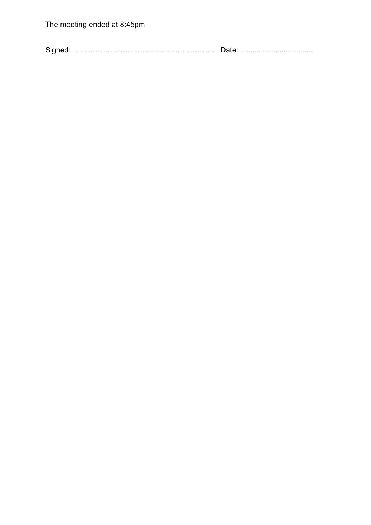Signed: ………………………………………………… Date: ...................................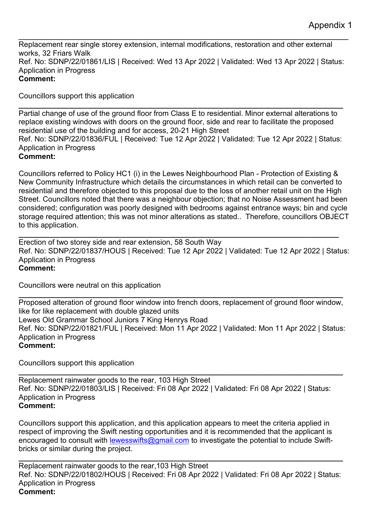\_\_\_\_\_\_\_\_\_\_\_\_\_\_\_\_\_\_\_\_\_\_\_\_\_\_\_\_\_\_\_\_\_\_\_\_\_\_\_\_\_\_\_\_\_\_\_\_\_\_\_\_\_\_\_\_\_\_\_\_\_\_\_\_\_\_\_\_ Replacement rear single storey extension, internal modifications, restoration and other external works, 32 Friars Walk Ref. No: SDNP/22/01861/LIS | Received: Wed 13 Apr 2022 | Validated: Wed 13 Apr 2022 | Status: Application in Progress **Comment:**

Councillors support this application

**\_\_\_\_\_\_\_\_\_\_\_\_\_\_\_\_\_\_\_\_\_\_\_\_\_\_\_\_\_\_\_\_\_\_\_\_\_\_\_\_\_\_\_\_\_\_\_\_\_\_\_\_\_\_\_\_\_\_\_\_\_\_\_\_\_\_\_\_\_\_\_\_\_\_\_\_\_\_** Partial change of use of the ground floor from Class E to residential. Minor external alterations to replace existing windows with doors on the ground floor, side and rear to facilitate the proposed residential use of the building and for access, 20-21 High Street Ref. No: SDNP/22/01836/FUL | Received: Tue 12 Apr 2022 | Validated: Tue 12 Apr 2022 | Status: Application in Progress **Comment:**

Councillors referred to Policy HC1 (i) in the Lewes Neighbourhood Plan - Protection of Existing & New Community Infrastructure which details the circumstances in which retail can be converted to residential and therefore objected to this proposal due to the loss of another retail unit on the High Street. Councillors noted that there was a neighbour objection; that no Noise Assessment had been considered; configuration was poorly designed with bedrooms against entrance ways; bin and cycle storage required attention; this was not minor alterations as stated.. Therefore, councillors OBJECT to this application.

**\_\_\_\_\_\_\_\_\_\_\_\_\_\_\_\_\_\_\_\_\_\_\_\_\_\_\_\_\_\_\_\_\_\_\_\_\_\_\_\_\_\_\_\_\_\_\_\_\_\_\_\_\_\_\_\_\_\_\_\_\_\_\_\_\_\_\_\_\_\_\_\_\_\_\_\_\_** Erection of two storey side and rear extension, 58 South Way Ref. No: SDNP/22/01837/HOUS | Received: Tue 12 Apr 2022 | Validated: Tue 12 Apr 2022 | Status: Application in Progress **Comment:**

Councillors were neutral on this application

**\_\_\_\_\_\_\_\_\_\_\_\_\_\_\_\_\_\_\_\_\_\_\_\_\_\_\_\_\_\_\_\_\_\_\_\_\_\_\_\_\_\_\_\_\_\_\_\_\_\_\_\_\_\_\_\_\_\_\_\_\_\_\_\_\_\_\_\_\_\_\_\_\_\_\_\_\_\_** Proposed alteration of ground floor window into french doors, replacement of ground floor window, like for like replacement with double glazed units Lewes Old Grammar School Juniors 7 King Henrys Road Ref. No: SDNP/22/01821/FUL | Received: Mon 11 Apr 2022 | Validated: Mon 11 Apr 2022 | Status: Application in Progress **Comment:**

Councillors support this application

**\_\_\_\_\_\_\_\_\_\_\_\_\_\_\_\_\_\_\_\_\_\_\_\_\_\_\_\_\_\_\_\_\_\_\_\_\_\_\_\_\_\_\_\_\_\_\_\_\_\_\_\_\_\_\_\_\_\_\_\_\_\_\_\_\_\_\_\_\_\_\_\_\_\_\_\_\_\_**  Replacement rainwater goods to the rear, 103 High Street Ref. No: SDNP/22/01803/LIS | Received: Fri 08 Apr 2022 | Validated: Fri 08 Apr 2022 | Status: Application in Progress **Comment:**

Councillors support this application, and this application appears to meet the criteria applied in respect of improving the Swift nesting opportunities and it is recommended that the applicant is encouraged to consult with [lewesswifts@gmail.com](mailto:lewesswifts@gmail.com) to investigate the potential to include Swiftbricks or similar during the project.

**\_\_\_\_\_\_\_\_\_\_\_\_\_\_\_\_\_\_\_\_\_\_\_\_\_\_\_\_\_\_\_\_\_\_\_\_\_\_\_\_\_\_\_\_\_\_\_\_\_\_\_\_\_\_\_\_\_\_\_\_\_\_\_\_\_\_\_\_\_\_\_\_\_\_\_\_\_\_** Replacement rainwater goods to the rear,103 High Street Ref. No: SDNP/22/01802/HOUS | Received: Fri 08 Apr 2022 | Validated: Fri 08 Apr 2022 | Status: Application in Progress **Comment:**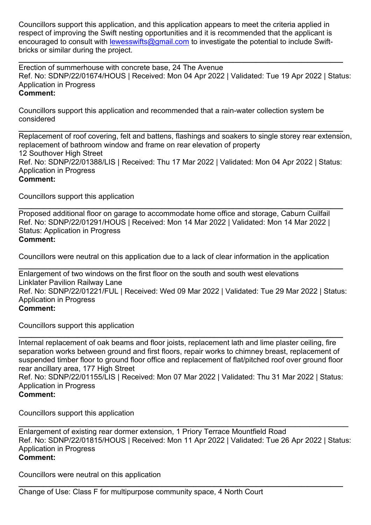Councillors support this application, and this application appears to meet the criteria applied in respect of improving the Swift nesting opportunities and it is recommended that the applicant is encouraged to consult with [lewesswifts@gmail.com](mailto:lewesswifts@gmail.com) to investigate the potential to include Swiftbricks or similar during the project.

**\_\_\_\_\_\_\_\_\_\_\_\_\_\_\_\_\_\_\_\_\_\_\_\_\_\_\_\_\_\_\_\_\_\_\_\_\_\_\_\_\_\_\_\_\_\_\_\_\_\_\_\_\_\_\_\_\_\_\_\_\_\_\_\_\_\_\_\_\_\_\_\_\_\_\_\_\_\_** Erection of summerhouse with concrete base, 24 The Avenue Ref. No: SDNP/22/01674/HOUS | Received: Mon 04 Apr 2022 | Validated: Tue 19 Apr 2022 | Status: Application in Progress **Comment:**

Councillors support this application and recommended that a rain-water collection system be considered

**\_\_\_\_\_\_\_\_\_\_\_\_\_\_\_\_\_\_\_\_\_\_\_\_\_\_\_\_\_\_\_\_\_\_\_\_\_\_\_\_\_\_\_\_\_\_\_\_\_\_\_\_\_\_\_\_\_\_\_\_\_\_\_\_\_\_\_\_\_\_\_\_\_\_\_\_\_\_** Replacement of roof covering, felt and battens, flashings and soakers to single storey rear extension, replacement of bathroom window and frame on rear elevation of property 12 Southover High Street Ref. No: SDNP/22/01388/LIS | Received: Thu 17 Mar 2022 | Validated: Mon 04 Apr 2022 | Status: Application in Progress **Comment:**

Councillors support this application

**\_\_\_\_\_\_\_\_\_\_\_\_\_\_\_\_\_\_\_\_\_\_\_\_\_\_\_\_\_\_\_\_\_\_\_\_\_\_\_\_\_\_\_\_\_\_\_\_\_\_\_\_\_\_\_\_\_\_\_\_\_\_\_\_\_\_\_\_\_\_\_\_\_\_\_\_\_\_** Proposed additional floor on garage to accommodate home office and storage, Caburn Cuilfail Ref. No: SDNP/22/01291/HOUS | Received: Mon 14 Mar 2022 | Validated: Mon 14 Mar 2022 | Status: Application in Progress **Comment:**

Councillors were neutral on this application due to a lack of clear information in the application

**\_\_\_\_\_\_\_\_\_\_\_\_\_\_\_\_\_\_\_\_\_\_\_\_\_\_\_\_\_\_\_\_\_\_\_\_\_\_\_\_\_\_\_\_\_\_\_\_\_\_\_\_\_\_\_\_\_\_\_\_\_\_\_\_\_\_\_\_\_\_\_\_\_\_\_\_\_\_** Enlargement of two windows on the first floor on the south and south west elevations Linklater Pavilion Railway Lane Ref. No: SDNP/22/01221/FUL | Received: Wed 09 Mar 2022 | Validated: Tue 29 Mar 2022 | Status: Application in Progress **Comment:**

Councillors support this application

**\_\_\_\_\_\_\_\_\_\_\_\_\_\_\_\_\_\_\_\_\_\_\_\_\_\_\_\_\_\_\_\_\_\_\_\_\_\_\_\_\_\_\_\_\_\_\_\_\_\_\_\_\_\_\_\_\_\_\_\_\_\_\_\_\_\_\_\_\_\_\_\_\_\_\_\_\_\_** Internal replacement of oak beams and floor joists, replacement lath and lime plaster ceiling, fire separation works between ground and first floors, repair works to chimney breast, replacement of suspended timber floor to ground floor office and replacement of flat/pitched roof over ground floor rear ancillary area, 177 High Street Ref. No: SDNP/22/01155/LIS | Received: Mon 07 Mar 2022 | Validated: Thu 31 Mar 2022 | Status: Application in Progress **Comment:**

Councillors support this application

\_\_\_\_\_\_\_\_\_\_\_\_\_\_\_\_\_\_\_\_\_\_\_\_\_\_\_\_\_\_\_\_\_\_\_\_\_\_\_\_\_\_\_\_\_\_\_\_\_\_\_\_\_\_\_\_\_\_\_\_\_\_\_\_\_\_\_\_ Enlargement of existing rear dormer extension, 1 Priory Terrace Mountfield Road Ref. No: SDNP/22/01815/HOUS | Received: Mon 11 Apr 2022 | Validated: Tue 26 Apr 2022 | Status: Application in Progress **Comment:**

**\_\_\_\_\_\_\_\_\_\_\_\_\_\_\_\_\_\_\_\_\_\_\_\_\_\_\_\_\_\_\_\_\_\_\_\_\_\_\_\_\_\_\_\_\_\_\_\_\_\_\_\_\_\_\_\_\_\_\_\_\_\_\_\_\_\_\_\_\_\_\_\_\_\_\_\_\_\_**

Councillors were neutral on this application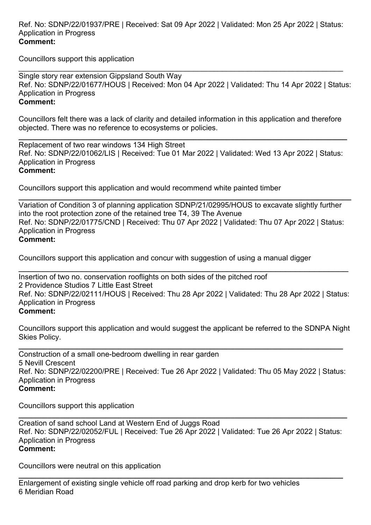Ref. No: SDNP/22/01937/PRE | Received: Sat 09 Apr 2022 | Validated: Mon 25 Apr 2022 | Status: Application in Progress **Comment:**

Councillors support this application

\_\_\_\_\_\_\_\_\_\_\_\_\_\_\_\_\_\_\_\_\_\_\_\_\_\_\_\_\_\_\_\_\_\_\_\_\_\_\_\_\_\_\_\_\_\_\_\_\_\_\_\_\_\_\_\_\_\_\_\_\_\_\_\_\_\_\_\_\_\_\_\_\_\_\_\_\_\_ Single story rear extension Gippsland South Way Ref. No: SDNP/22/01677/HOUS | Received: Mon 04 Apr 2022 | Validated: Thu 14 Apr 2022 | Status: Application in Progress **Comment:**

Councillors felt there was a lack of clarity and detailed information in this application and therefore objected. There was no reference to ecosystems or policies.

**\_\_\_\_\_\_\_\_\_\_\_\_\_\_\_\_\_\_\_\_\_\_\_\_\_\_\_\_\_\_\_\_\_\_\_\_\_\_\_\_\_\_\_\_\_\_\_\_\_\_\_\_\_\_\_\_\_\_\_\_\_\_\_\_\_\_\_\_\_\_\_\_\_\_\_\_\_\_\_** Replacement of two rear windows 134 High Street Ref. No: SDNP/22/01062/LIS | Received: Tue 01 Mar 2022 | Validated: Wed 13 Apr 2022 | Status: Application in Progress **Comment:**

Councillors support this application and would recommend white painted timber

**\_\_\_\_\_\_\_\_\_\_\_\_\_\_\_\_\_\_\_\_\_\_\_\_\_\_\_\_\_\_\_\_\_\_\_\_\_\_\_\_\_\_\_\_\_\_\_\_\_\_\_\_\_\_\_\_\_\_\_\_\_\_\_\_\_\_\_\_\_\_\_\_\_\_\_\_\_\_\_\_** Variation of Condition 3 of planning application SDNP/21/02995/HOUS to excavate slightly further into the root protection zone of the retained tree T4, 39 The Avenue Ref. No: SDNP/22/01775/CND | Received: Thu 07 Apr 2022 | Validated: Thu 07 Apr 2022 | Status: Application in Progress **Comment:**

Councillors support this application and concur with suggestion of using a manual digger

\_\_\_\_\_\_\_\_\_\_\_\_\_\_\_\_\_\_\_\_\_\_\_\_\_\_\_\_\_\_\_\_\_\_\_\_\_\_\_\_\_\_\_\_\_\_\_\_\_\_\_\_\_\_\_\_\_\_\_\_\_\_\_\_\_\_\_\_ Insertion of two no. conservation rooflights on both sides of the pitched roof 2 Providence Studios 7 Little East Street Ref. No: SDNP/22/02111/HOUS | Received: Thu 28 Apr 2022 | Validated: Thu 28 Apr 2022 | Status: Application in Progress **Comment:**

Councillors support this application and would suggest the applicant be referred to the SDNPA Night Skies Policy.

**\_\_\_\_\_\_\_\_\_\_\_\_\_\_\_\_\_\_\_\_\_\_\_\_\_\_\_\_\_\_\_\_\_\_\_\_\_\_\_\_\_\_\_\_\_\_\_\_\_\_\_\_\_\_\_\_\_\_\_\_\_\_\_\_\_\_\_\_\_\_\_\_\_\_\_\_\_\_** Construction of a small one-bedroom dwelling in rear garden 5 Nevill Crescent Ref. No: SDNP/22/02200/PRE | Received: Tue 26 Apr 2022 | Validated: Thu 05 May 2022 | Status: Application in Progress **Comment:**

Councillors support this application

Creation of sand school Land at Western End of Juggs Road Ref. No: SDNP/22/02052/FUL | Received: Tue 26 Apr 2022 | Validated: Tue 26 Apr 2022 | Status: Application in Progress **Comment:**

**\_\_\_\_\_\_\_\_\_\_\_\_\_\_\_\_\_\_\_\_\_\_\_\_\_\_\_\_\_\_\_\_\_\_\_\_\_\_\_\_\_\_\_\_\_\_\_\_\_\_\_\_\_\_\_\_\_\_\_\_\_\_\_\_\_\_\_\_\_\_\_\_\_\_\_\_\_\_\_**

Councillors were neutral on this application

**\_\_\_\_\_\_\_\_\_\_\_\_\_\_\_\_\_\_\_\_\_\_\_\_\_\_\_\_\_\_\_\_\_\_\_\_\_\_\_\_\_\_\_\_\_\_\_\_\_\_\_\_\_\_\_\_\_\_\_\_\_\_\_\_\_\_\_\_\_\_\_\_\_\_\_\_\_\_** Enlargement of existing single vehicle off road parking and drop kerb for two vehicles 6 Meridian Road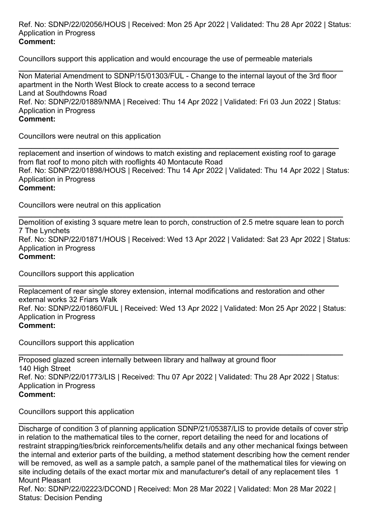#### Ref. No: SDNP/22/02056/HOUS | Received: Mon 25 Apr 2022 | Validated: Thu 28 Apr 2022 | Status: Application in Progress **Comment:**

Councillors support this application and would encourage the use of permeable materials

**\_\_\_\_\_\_\_\_\_\_\_\_\_\_\_\_\_\_\_\_\_\_\_\_\_\_\_\_\_\_\_\_\_\_\_\_\_\_\_\_\_\_\_\_\_\_\_\_\_\_\_\_\_\_\_\_\_\_\_\_\_\_\_\_\_\_\_\_\_\_\_\_\_\_\_\_\_\_** Non Material Amendment to SDNP/15/01303/FUL - Change to the internal layout of the 3rd floor apartment in the North West Block to create access to a second terrace Land at Southdowns Road Ref. No: SDNP/22/01889/NMA | Received: Thu 14 Apr 2022 | Validated: Fri 03 Jun 2022 | Status: Application in Progress **Comment:**

Councillors were neutral on this application

**\_\_\_\_\_\_\_\_\_\_\_\_\_\_\_\_\_\_\_\_\_\_\_\_\_\_\_\_\_\_\_\_\_\_\_\_\_\_\_\_\_\_\_\_\_\_\_\_\_\_\_\_\_\_\_\_\_\_\_\_\_\_\_\_\_\_\_\_\_\_\_\_\_\_\_\_\_** replacement and insertion of windows to match existing and replacement existing roof to garage from flat roof to mono pitch with rooflights 40 Montacute Road Ref. No: SDNP/22/01898/HOUS | Received: Thu 14 Apr 2022 | Validated: Thu 14 Apr 2022 | Status: Application in Progress **Comment:**

Councillors were neutral on this application

**\_\_\_\_\_\_\_\_\_\_\_\_\_\_\_\_\_\_\_\_\_\_\_\_\_\_\_\_\_\_\_\_\_\_\_\_\_\_\_\_\_\_\_\_\_\_\_\_\_\_\_\_\_\_\_\_\_\_\_\_\_\_\_\_\_\_\_\_\_\_\_\_\_\_\_\_\_\_** Demolition of existing 3 square metre lean to porch, construction of 2.5 metre square lean to porch 7 The Lynchets Ref. No: SDNP/22/01871/HOUS | Received: Wed 13 Apr 2022 | Validated: Sat 23 Apr 2022 | Status: Application in Progress **Comment:**

Councillors support this application

**\_\_\_\_\_\_\_\_\_\_\_\_\_\_\_\_\_\_\_\_\_\_\_\_\_\_\_\_\_\_\_\_\_\_\_\_\_\_\_\_\_\_\_\_\_\_\_\_\_\_\_\_\_\_\_\_\_\_\_\_\_\_\_\_\_\_\_\_\_\_\_\_\_\_\_\_\_** Replacement of rear single storey extension, internal modifications and restoration and other external works 32 Friars Walk Ref. No: SDNP/22/01860/FUL | Received: Wed 13 Apr 2022 | Validated: Mon 25 Apr 2022 | Status: Application in Progress **Comment:**

Councillors support this application

**\_\_\_\_\_\_\_\_\_\_\_\_\_\_\_\_\_\_\_\_\_\_\_\_\_\_\_\_\_\_\_\_\_\_\_\_\_\_\_\_\_\_\_\_\_\_\_\_\_\_\_\_\_\_\_\_\_\_\_\_\_\_\_\_\_\_\_\_\_\_\_\_\_\_\_\_\_\_** Proposed glazed screen internally between library and hallway at ground floor 140 High Street Ref. No: SDNP/22/01773/LIS | Received: Thu 07 Apr 2022 | Validated: Thu 28 Apr 2022 | Status: Application in Progress **Comment:**

Councillors support this application

**\_\_\_\_\_\_\_\_\_\_\_\_\_\_\_\_\_\_\_\_\_\_\_\_\_\_\_\_\_\_\_\_\_\_\_\_\_\_\_\_\_\_\_\_\_\_\_\_\_\_\_\_\_\_\_\_\_\_\_\_\_\_\_\_\_\_\_\_\_\_\_\_\_\_\_\_\_\_** Discharge of condition 3 of planning application SDNP/21/05387/LIS to provide details of cover strip in relation to the mathematical tiles to the corner, report detailing the need for and locations of restraint strapping/ties/brick reinforcements/helifix details and any other mechanical fixings between the internal and exterior parts of the building, a method statement describing how the cement render will be removed, as well as a sample patch, a sample panel of the mathematical tiles for viewing on site including details of the exact mortar mix and manufacturer's detail of any replacement tiles 1 Mount Pleasant

Ref. No: SDNP/22/02223/DCOND | Received: Mon 28 Mar 2022 | Validated: Mon 28 Mar 2022 | Status: Decision Pending